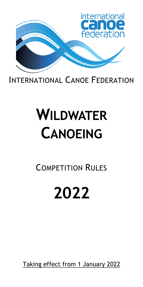

# INTERNATIONAL CANOE FEDERATION

# **WILDWATER CANOEING**

COMPETITION RULES

# **2022**

Taking effect from 1 January 2022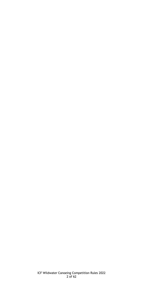ICF Wildwater Canoeing Competition Rules 2022 2 of 62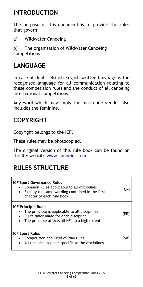# **INTRODUCTION**

The purpose of this document is to provide the rules that govern:

a) Wildwater Canoeing

b) The organisation of Wildwater Canoeing competitions

# **LANGUAGE**

In case of doubt, British English written language is the recognised language for all communication relating to these competition rules and the conduct of all canoeing international competitions.

Any word which may imply the masculine gender also includes the feminine.

## **COPYRIGHT**

Copyright belongs to the ICF.

These rules may be photocopied.

The original version of this rule book can be found on the ICF website [www.canoeicf.com.](http://www.canoeicf.com/)

# **RULES STRUCTURE**

| <b>ICF Sport Governance Rules</b><br>Common Rules applicable to all disciplines<br>Exactly the same wording contained in the first<br>chapter of each rule book         | [CR] |
|-------------------------------------------------------------------------------------------------------------------------------------------------------------------------|------|
| <b>ICF Principle Rules</b><br>The principle is applicable to all disciplines<br>Rules tailor made for each discipline<br>The principle affects all NFs to a high extent | PR.  |
| <b>ICF Sport Rules</b><br>Competition and Field of Play rules<br>All technical aspects specific to the disciplines                                                      | [SR] |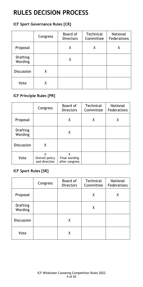# **RULES DECISION PROCESS**

#### **ICF Sport Governance Rules [CR]**

|                            | Congress | Board of<br><b>Directors</b> | Technical<br>Committee | National<br>Federations |
|----------------------------|----------|------------------------------|------------------------|-------------------------|
| Proposal                   |          | X                            | Χ                      | Χ                       |
| <b>Drafting</b><br>Wording |          | X                            |                        |                         |
| <b>Discussion</b>          | X        |                              |                        |                         |
| Vote                       |          |                              |                        |                         |

#### **ICF Principle Rules [PR]**

|                            | Congress                             | Board of<br><b>Directors</b>         | Technical<br>Committee | <b>National</b><br>Federations |
|----------------------------|--------------------------------------|--------------------------------------|------------------------|--------------------------------|
| Proposal                   |                                      | Χ                                    | Χ                      | χ                              |
| <b>Drafting</b><br>Wording |                                      | Χ                                    |                        |                                |
| <b>Discussion</b>          | X                                    |                                      |                        |                                |
| Vote                       | x<br>Overall policy<br>and direction | χ<br>Final wording<br>after congress |                        |                                |

#### **ICF Sport Rules [SR]**

|                            | Congress | Board of<br><b>Directors</b> | <b>Technical</b><br>Committee | National<br>Federations |
|----------------------------|----------|------------------------------|-------------------------------|-------------------------|
| Proposal                   |          |                              | X                             | X                       |
| <b>Drafting</b><br>Wording |          |                              | χ                             |                         |
| <b>Discussion</b>          |          | X                            |                               |                         |
| Vote                       |          | Χ                            |                               |                         |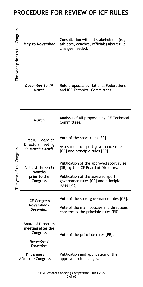## **PROCEDURE FOR REVIEW OF ICF RULES**

| The year prior to the Congress | <b>May to November</b>                                                                      | Consultation with all stakeholders (e.g.<br>athletes, coaches, officials) about rule<br>changes needed.                                                                   |
|--------------------------------|---------------------------------------------------------------------------------------------|---------------------------------------------------------------------------------------------------------------------------------------------------------------------------|
|                                | December to 1 <sup>st</sup><br>March                                                        | Rule proposals by National Federations<br>and ICF Technical Committees.                                                                                                   |
|                                | <b>March</b>                                                                                | Analysis of all proposals by ICF Technical<br>Committees.                                                                                                                 |
| Congress<br>The year of the    | First ICF Board of<br>Directors meeting<br>in March / April                                 | Vote of the sport rules [SR].<br>Assessment of sport governance rules<br>[CR] and principle rules [PR].                                                                   |
|                                | At least three (3)<br>months<br>prior to the<br>Congress                                    | Publication of the approved sport rules<br>[SR] by the ICF Board of Directors.<br>Publication of the assessed sport<br>governance rules [CR] and principle<br>rules [PR]. |
|                                | <b>ICF Congress</b><br>November /<br><b>December</b>                                        | Vote of the sport governance rules [CR].<br>Vote of the main policies and directions<br>concerning the principle rules [PR].                                              |
|                                | <b>Board of Directors</b><br>meeting after the<br>Congress<br>November /<br><b>December</b> | Vote of the principle rules [PR].                                                                                                                                         |
|                                | 1 <sup>st</sup> January<br>After the Congress                                               | Publication and application of the<br>approved rule changes.                                                                                                              |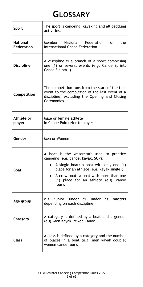# **GLOSSARY**

í

| <b>Sport</b>                         | The sport is canoeing, kayaking and all paddling<br>activities.                                                                                                                                                                                                     |
|--------------------------------------|---------------------------------------------------------------------------------------------------------------------------------------------------------------------------------------------------------------------------------------------------------------------|
| <b>National</b><br><b>Federation</b> | Member National Federation<br>of<br>the<br>International Canoe Federation.                                                                                                                                                                                          |
| <b>Discipline</b>                    | A discipline is a branch of a sport comprising<br>one (1) or several events (e.g. Canoe Sprint,<br>Canoe Slalom).                                                                                                                                                   |
| Competition                          | The competition runs from the start of the first<br>event to the completion of the last event of a<br>discipline, excluding the Opening and Closing<br>Ceremonies.                                                                                                  |
| Athlete or<br>player                 | Male or female athlete<br>In Canoe Polo refer to player                                                                                                                                                                                                             |
| Gender                               | Men or Women                                                                                                                                                                                                                                                        |
| <b>Boat</b>                          | A boat is the watercraft used to practice<br>canoeing (e.g. canoe, kayak, SUP):<br>A single boat: a boat with only one (1)<br>place for an athlete (e.g. kayak single);<br>A crew boat: a boat with more than one<br>(1) place for an athlete (e.g. canoe<br>four). |
| Age group                            | e.g. junior, under 21, under 23, masters<br>depending on each discipline                                                                                                                                                                                            |
| Category                             | A category is defined by a boat and a gender<br>(e.g. Men Kayak, Mixed Canoe).                                                                                                                                                                                      |
| <b>Class</b>                         | A class is defined by a category and the number<br>of places in a boat (e.g. men kayak double;<br>women canoe four).                                                                                                                                                |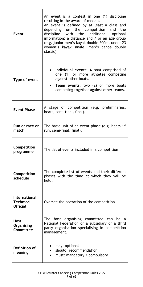| Event                                                       | An event is a contest in one (1) discipline<br>resulting in the award of medals.<br>An event is defined by at least a class and<br>depending on the competition and<br>the<br>discipline with the additional optional<br>information: a distance and $\prime$ or an age group<br>(e.g. junior men's kayak double 500m, under 23<br>women's kayak single, men's canoe double<br>classic). |
|-------------------------------------------------------------|------------------------------------------------------------------------------------------------------------------------------------------------------------------------------------------------------------------------------------------------------------------------------------------------------------------------------------------------------------------------------------------|
| Type of event                                               | Individual events: A boat comprised of<br>one (1) or more athletes competing<br>against other boats.<br>Team events: two (2) or more boats<br>$\bullet$<br>competing together against other teams.                                                                                                                                                                                       |
| <b>Event Phase</b>                                          | A stage of competition (e.g. preliminaries,<br>heats, semi-final, final).                                                                                                                                                                                                                                                                                                                |
| Run or race or<br>match                                     | The basic unit of an event phase (e.g. heats $1st$<br>run, semi-final, final).                                                                                                                                                                                                                                                                                                           |
| Competition<br>programme                                    | The list of events included in a competition.                                                                                                                                                                                                                                                                                                                                            |
| Competition<br>schedule                                     | The complete list of events and their different<br>phases with the time at which they will be<br>held.                                                                                                                                                                                                                                                                                   |
| <b>International</b><br><b>Technical</b><br><b>Official</b> | Oversee the operation of the competition.                                                                                                                                                                                                                                                                                                                                                |
| <b>Host</b><br>Organising<br>Committee                      | host organising committee can be a<br>The<br>National Federation or a subsidiary or a third<br>party organisation specialising in competition<br>management.                                                                                                                                                                                                                             |
| Definition of<br>meaning                                    | may: optional<br>should: recommendation<br>must: mandatory / compulsory                                                                                                                                                                                                                                                                                                                  |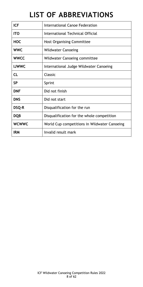# **LIST OF ABBREVIATIONS**

| <b>ICF</b>   | International Canoe Federation               |
|--------------|----------------------------------------------|
| <b>ITO</b>   | International Technical Official             |
| <b>HOC</b>   | <b>Host Organising Committee</b>             |
| <b>WWC</b>   | <b>Wildwater Canoeing</b>                    |
| <b>WWCC</b>  | Wildwater Canoeing committee                 |
| <b>IJWWC</b> | International Judge Wildwater Canoeing       |
| CL           | Classic                                      |
| <b>SP</b>    | Sprint                                       |
| <b>DNF</b>   | Did not finish                               |
| <b>DNS</b>   | Did not start                                |
| DSQ-R        | Disqualification for the run                 |
| <b>DQB</b>   | Disqualification for the whole competition   |
| <b>WCWWC</b> | World Cup competitions in Wildwater Canoeing |
| <b>IRM</b>   | Invalid result mark                          |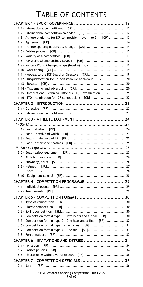# TABLE OF CONTENTS

| 1.2 - International competition calendar [CR]  12                     |  |
|-----------------------------------------------------------------------|--|
| 1.3 - Athlete eligibility for ICF competition (level 1 to 3) [CR]  13 |  |
|                                                                       |  |
| 1.5 - Athlete sporting nationality change [CR]  14                    |  |
|                                                                       |  |
|                                                                       |  |
|                                                                       |  |
| 1.9 - Masters World Championships (level 4) [CR]  19                  |  |
|                                                                       |  |
| 1.11 - Appeal to the ICF Board of Directors [CR] 19                   |  |
| 1.12 - Disqualification for unsportsmanlike behaviour [CR]  20        |  |
|                                                                       |  |
|                                                                       |  |
| 1.15 - International Technical Official (ITO) - examination [CR]  21  |  |
| 1.16 - ITO - nomination for ICF competitions [CR] 22                  |  |
|                                                                       |  |
|                                                                       |  |
|                                                                       |  |
|                                                                       |  |
|                                                                       |  |
|                                                                       |  |
|                                                                       |  |
|                                                                       |  |
|                                                                       |  |
|                                                                       |  |
|                                                                       |  |
|                                                                       |  |
|                                                                       |  |
| $3.8 - Helmet$                                                        |  |
| $3.9 - Shoes$                                                         |  |
|                                                                       |  |
|                                                                       |  |
| CHAPTER 4 - COMPETITION PROGRAMME  29                                 |  |
|                                                                       |  |
|                                                                       |  |
|                                                                       |  |
|                                                                       |  |
|                                                                       |  |
|                                                                       |  |
| 5.4 - Competition format type D - Two heats and a final [SR]  30      |  |
| 5.5 - Competition format type C - One heat and a final [SR]  32       |  |
| 5.6 - Competition format type B - Two runs [SR]  33                   |  |
| 5.7 - Competition format type A - One run [SR] 33                     |  |
| 5.8 - Force-majeure                                                   |  |
| CHAPTER 6 - INVITATIONS AND ENTRIES  34                               |  |
|                                                                       |  |
|                                                                       |  |
|                                                                       |  |
| CHAPTER 7 - COMPETITION OFFICIALS  36                                 |  |
| $7.1 - Jury$                                                          |  |
|                                                                       |  |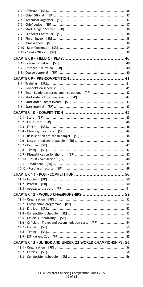| 9.1 - Training                                                  |  |
|-----------------------------------------------------------------|--|
|                                                                 |  |
| 9.3 - Team Leaders meeting and instructions [PR]  42            |  |
|                                                                 |  |
|                                                                 |  |
|                                                                 |  |
|                                                                 |  |
| 10.1 - Start                                                    |  |
|                                                                 |  |
| $10.3 - Finish$                                                 |  |
|                                                                 |  |
|                                                                 |  |
|                                                                 |  |
|                                                                 |  |
|                                                                 |  |
|                                                                 |  |
|                                                                 |  |
|                                                                 |  |
|                                                                 |  |
|                                                                 |  |
|                                                                 |  |
| 11.2 - Protest                                                  |  |
|                                                                 |  |
| CHAPTER 12 - WORLD CHAMPIONSHIPS  52                            |  |
|                                                                 |  |
|                                                                 |  |
| 12.3 - Entries                                                  |  |
|                                                                 |  |
| 12.6 - Officials - Travel and accommodation costs [PR]  54      |  |
| 12.7 - Course                                                   |  |
| $12.8 - Timing$                                                 |  |
|                                                                 |  |
|                                                                 |  |
| <b>CHAPTER 13 - JUNIOR AND UNDER 23 WORLD CHAMPIONSHIPS, 56</b> |  |
| 13.2 - Entries                                                  |  |
|                                                                 |  |
|                                                                 |  |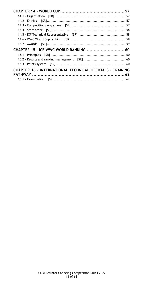| CHAPTER 15 - ICF WWC WORLD RANKING  60                           |  |
|------------------------------------------------------------------|--|
|                                                                  |  |
|                                                                  |  |
|                                                                  |  |
| <b>CHAPTER 16 - INTERNATIONAL TECHNICAL OFFICIALS - TRAINING</b> |  |
|                                                                  |  |
|                                                                  |  |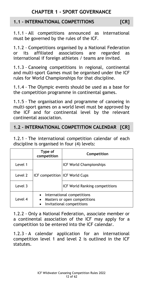### **CHAPTER 1 - SPORT GOVERNANCE**

#### <span id="page-11-1"></span><span id="page-11-0"></span>**1.1 - INTERNATIONAL COMPETITIONS [CR]**

1.1.1 - All competitions announced as international must be governed by the rules of the ICF.

1.1.2 - Competitions organised by a National Federation or its affiliated associations are regarded as international if foreign athletes / teams are invited.

1.1.3 - Canoeing competitions in regional, continental and multi-sport Games must be organised under the ICF rules for World Championships for that discipline.

1.1.4 - The Olympic events should be used as a base for the competition programme in continental games.

1.1.5 - The organisation and programme of canoeing in multi-sport games on a world level must be approved by the ICF and for continental level by the relevant continental association.

### <span id="page-11-2"></span>**1.2 - INTERNATIONAL COMPETITION CALENDAR [CR]**

|         | Type of<br>competition                                                                                              | Competition                           |
|---------|---------------------------------------------------------------------------------------------------------------------|---------------------------------------|
| Level 1 |                                                                                                                     | <b>ICF World Championships</b>        |
| Level 2 | <b>ICF competition ICF World Cups</b>                                                                               |                                       |
| Level 3 |                                                                                                                     | <b>ICF World Ranking competitions</b> |
| Level 4 | • International competitions<br>Masters or open competitions<br>$\bullet$<br>Invitational competitions<br>$\bullet$ |                                       |

1.2.1 - The international competition calendar of each discipline is organised in four (4) levels:

1.2.2 - Only a National Federation, associate member or a continental association of the ICF may apply for a competition to be entered into the ICF calendar.

1.2.3 - A calendar application for an international competition level 1 and level 2 is outlined in the ICF statutes.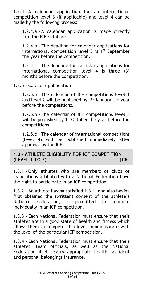1.2.4 - A calendar application for an international competition level 3 (if applicable) and level 4 can be made by the following process:

1.2.4.a - A calendar application is made directly into the ICF database.

1.2.4.b - The deadline for calendar applications for international competition level  $3$  is  $1^{st}$  September the year before the competition.

1.2.4.c - The deadline for calendar applications for international competition level 4 is three (3) months before the competition.

1.2.5 - Calendar publication

1.2.5.a - The calendar of ICF competitions level 1 and level 2 will be published by  $1<sup>st</sup>$  January the year before the competitions.

1.2.5.b - The calendar of ICF competitions level 3 will be published by  $1<sup>st</sup>$  October the year before the competitions.

1.2.5.c - The calendar of international competitions (level 4) will be published immediately after approval by the ICF.

### <span id="page-12-0"></span>**1.3 - ATHLETE ELIGIBILITY FOR ICF COMPETITION (LEVEL 1 TO 3) [CR]**

1.3.1 - Only athletes who are members of clubs or associations affiliated with a National Federation have the right to participate in an ICF competition.

1.3.2 - An athlete having satisfied 1.3.1. and also having first obtained the (written) consent of the athlete's National Federation, is permitted to compete individually in an ICF competition.

1.3.3 - Each National Federation must ensure that their athletes are in a good state of health and fitness which allows them to compete at a level commensurate with the level of the particular ICF competition.

1.3.4 - Each National Federation must ensure that their athletes, team officials, as well as the National Federation itself, carry appropriate health, accident and personal belongings insurance.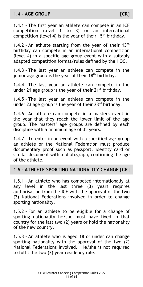### <span id="page-13-0"></span>**1.4 - AGE GROUP [CR]**

1.4.1 - The first year an athlete can compete in an ICF competition (level 1 to 3) or an international competition (level 4) is the year of their  $15<sup>th</sup>$  birthday.

1.4.2 - An athlete starting from the year of their  $13<sup>th</sup>$ birthday can compete in an international competition (level 4) in a specific age group event with a suitably adapted competition format/rules defined by the HOC.

1.4.3 - The last year an athlete can compete in the junior age group is the year of their  $18<sup>th</sup>$  birthday.

1.4.4 - The last year an athlete can compete in the under 21 age group is the year of their 21<sup>st</sup> birthday.

1.4.5 - The last year an athlete can compete in the under 23 age group is the year of their 23<sup>rd</sup> birthday.

1.4.6 - An athlete can compete in a masters event in the year that they reach the lower limit of the age group. The masters' age groups are defined by each discipline with a minimum age of 35 years.

1.4.7 - To enter in an event with a specified age group an athlete or the National Federation must produce documentary proof such as passport, identity card or similar document with a photograph, confirming the age of the athlete.

### <span id="page-13-1"></span>**1.5 - ATHLETE SPORTING NATIONALITY CHANGE [CR]**

1.5.1 - An athlete who has competed internationally at any level in the last three (3) years requires authorisation from the ICF with the approval of the two (2) National Federations involved in order to change sporting nationality.

1.5.2 - For an athlete to be eligible for a change of sporting nationality he/she must have lived in that country for the last two (2) years or hold the nationality of the new country.

1.5.3 - An athlete who is aged 18 or under can change sporting nationality with the approval of the two (2) National Federations involved. He/she is not required to fulfil the two (2) year residency rule.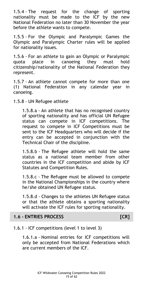1.5.4 - The request for the change of sporting nationality must be made to the ICF by the new National Federation no later than 30 November the year before the athlete wants to compete.

1.5.5 - For the Olympic and Paralympic Games the Olympic and Paralympic Charter rules will be applied for nationality issues.

1.5.6 - For an athlete to gain an Olympic or Paralympic quota place in canoeing they must hold citizenship/nationality of the National Federation they represent.

1.5.7 - An athlete cannot compete for more than one (1) National Federation in any calendar year in canoeing.

1.5.8 - UN Refugee athlete

1.5.8.a - An athlete that has no recognised country of sporting nationality and has official UN Refugee status can compete in ICF competitions. The request to compete in ICF Competitions must be sent to the ICF Headquarters who will decide if the entry can be accepted in conjunction with the Technical Chair of the discipline.

1.5.8.b - The Refugee athlete will hold the same status as a national team member from other countries in the ICF competition and abide by ICF Statutes and Competition Rules.

1.5.8.c - The Refugee must be allowed to compete in the National Championships in the country where he/she obtained UN Refugee status.

1.5.8.d - Changes to the athletes UN Refugee status or that the athlete obtains a sporting nationality will activate the ICF rules for sporting nationality.

### <span id="page-14-0"></span>**1.6 - ENTRIES PROCESS [CR]**

#### 1.6.1 - ICF competitions (level 1 to level 3)

1.6.1.a - Nominal entries for ICF competitions will only be accepted from National Federations which are current members of the ICF.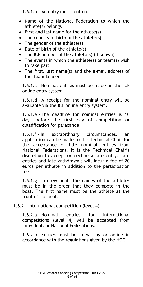1.6.1.b - An entry must contain:

- Name of the National Federation to which the athlete(s) belongs
- First and last name for the athlete(s)
- The country of birth of the athlete(s)
- The gender of the athlete(s)
- Date of birth of the athlete(s)
- The ICF number of the athlete(s) (if known)
- The events in which the athlete(s) or team(s) wish to take part
- The first, last name(s) and the e-mail address of the Team Leader

1.6.1.c - Nominal entries must be made on the ICF online entry system.

1.6.1.d - A receipt for the nominal entry will be available via the ICF online entry system.

1.6.1.e - The deadline for nominal entries is 10 days before the first day of competition or classification for paracanoe.

1.6.1.f - In extraordinary circumstances, an application can be made to the Technical Chair for the acceptance of late nominal entries from National Federations. It is the Technical Chair's discretion to accept or decline a late entry. Late entries and late withdrawals will incur a fee of 20 euros per athlete in addition to the participation fee.

1.6.1.g - In crew boats the names of the athletes must be in the order that they compete in the boat. The first name must be the athlete at the front of the boat.

1.6.2 - International competition (level 4)

1.6.2.a - Nominal entries for international competitions (level 4) will be accepted from individuals or National Federations.

1.6.2.b - Entries must be in writing or online in accordance with the regulations given by the HOC.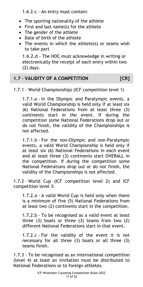1.6.2.c - An entry must contain:

- The sporting nationality of the athlete
- First and last name(s) for the athlete
- The gender of the athlete
- Date of birth of the athlete
- The events in which the athlete(s) or teams wish to take part

1.6.2.d - The HOC must acknowledge in writing or electronically the receipt of each entry within two (2) days.

#### <span id="page-16-0"></span>**1.7 - VALIDITY OF A COMPETITION [CR]**

1.7.1 - World Championships (ICF competition level 1)

1.7.1.a - In the Olympic and Paralympic events, a valid World Championship is held only if at least six (6) National Federations from at least three (3) continents start in the event. If during the competition some National Federations drop out or do not finish, the validity of the Championships is not affected.

1.7.1.b - For the non-Olympic and non-Paralympic events, a valid World Championship is held only if at least six (6) National Federations in each event and at least three (3) continents start OVERALL in the competition. If during the competition some National Federations drop out or do not finish, the validity of the Championships is not affected.

1.7.2 - World Cup (ICF competition level 2) and ICF competition level 3:

1.7.2.a - A valid World Cup is held only when there is a minimum of five (5) National Federations from at least two (2) continents start in the competition.

1.7.2.b - To be recognised as a valid event at least three  $(3)$  boats or three  $(3)$  teams from two  $(2)$ different National Federations start in that event.

1.7.2.c - For the validity of the event it is not necessary for all three (3) boats or all three (3) teams finish.

1.7.3 - To be recognised as an international competition (level 4) at least an invitation must be distributed to National Federations or to foreign athletes.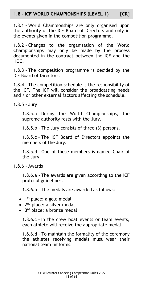### <span id="page-17-0"></span>**1.8 - ICF WORLD CHAMPIONSHIPS (LEVEL 1) [CR]**

1.8.1 - World Championships are only organised upon the authority of the ICF Board of Directors and only in the events given in the competition programme.

1.8.2 - Changes to the organisation of the World Championships may only be made by the process documented in the contract between the ICF and the HOC.

1.8.3 - The competition programme is decided by the ICF Board of Directors.

1.8.4 - The competition schedule is the responsibility of the ICF. The ICF will consider the broadcasting needs and / or other external factors affecting the schedule.

1.8.5 - Jury

1.8.5.a - During the World Championships, the supreme authority rests with the Jury.

1.8.5.b - The Jury consists of three (3) persons.

1.8.5.c - The ICF Board of Directors appoints the members of the Jury.

1.8.5.d - One of these members is named Chair of the Jury.

1.8.6 - Awards

1.8.6.a - The awards are given according to the ICF protocol guidelines.

1.8.6.b - The medals are awarded as follows:

- 1<sup>st</sup> place: a gold medal
- 2<sup>nd</sup> place: a silver medal
- 3<sup>rd</sup> place: a bronze medal

1.8.6.c - In the crew boat events or team events, each athlete will receive the appropriate medal.

1.8.6.d - To maintain the formality of the ceremony the athletes receiving medals must wear their national team uniforms.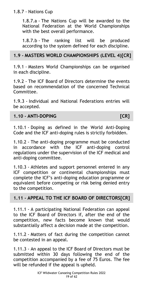1.8.7 - Nations Cup

1.8.7.a - The Nations Cup will be awarded to the National Federation at the World Championships with the best overall performance.

1.8.7.b - The ranking list will be produced according to the system defined for each discipline.

### <span id="page-18-0"></span>**1.9 - MASTERS WORLD CHAMPIONSHIPS (LEVEL 4)[CR]**

1.9.1 - Masters World Championships can be organised in each discipline.

1.9.2 - The ICF Board of Directors determine the events based on recommendation of the concerned Technical Committee.

1.9.3 - Individual and National Federations entries will be accepted.

#### <span id="page-18-1"></span>**1.10 - ANTI-DOPING [CR]**

1.10.1 - Doping as defined in the World Anti-Doping Code and the ICF anti-doping rules is strictly forbidden.

1.10.2 - The anti-doping programme must be conducted in accordance with the ICF anti-doping control regulations under the supervision of the ICF medical and anti-doping committee.

1.10.3 - Athletes and support personnel entered in any ICF competition or continental championships must complete the ICF's anti-doping education programme or equivalent before competing or risk being denied entry to the competition.

### <span id="page-18-2"></span>**1.11 - APPEAL TO THE ICF BOARD OF DIRECTORS[CR]**

1.11.1 - A participating National Federation can appeal to the ICF Board of Directors if, after the end of the competition, new facts become known that would substantially affect a decision made at the competition.

1.11.2 - Matters of fact during the competition cannot be contested in an appeal.

1.11.3 - An appeal to the ICF Board of Directors must be submitted within 30 days following the end of the competition accompanied by a fee of 75 Euros. The fee will be refunded if the appeal is upheld.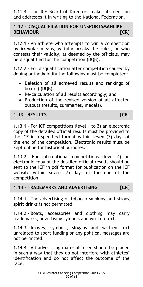1.11.4 - The ICF Board of Directors makes its decision and addresses it in writing to the National Federation.

### <span id="page-19-0"></span>**1.12 - DISQUALIFICATION FOR UNSPORTSMANLIKE BEHAVIOUR [CR]**

1.12.1 - An athlete who attempts to win a competition by irregular means, wilfully breaks the rules, or who contests their validity, as deemed by the officials, may be disqualified for the competition (DQB).

1.12.2 - For disqualification after competition caused by doping or ineligibility the following must be completed:

- Deletion of all achieved results and rankings of boat(s) (DQB);
- Re-calculation of all results accordingly; and
- Production of the revised version of all affected outputs (results, summaries, medals).

### <span id="page-19-1"></span>**1.13 - RESULTS [CR]**

1.13.1 - For ICF competitions (level 1 to 3) an electronic copy of the detailed official results must be provided to the ICF in a specified format within seven (7) days of the end of the competition. Electronic results must be kept online for historical purposes.

1.13.2 - For international competitions (level 4) an electronic copy of the detailed official results should be sent to the ICF in pdf format for publication on the ICF website within seven (7) days of the end of the competition.

#### <span id="page-19-2"></span>**1.14 - TRADEMARKS AND ADVERTISING [CR]**

1.14.1 - The advertising of tobacco smoking and strong spirit drinks is not permitted.

1.14.2 - Boats, accessories and clothing may carry trademarks, advertising symbols and written text.

1.14.3 - Images, symbols, slogans and written text unrelated to sport funding or any political messages are not permitted.

1.14.4 - All advertising materials used should be placed in such a way that they do not interfere with athletes' identification and do not affect the outcome of the race.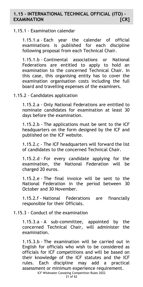#### <span id="page-20-0"></span>1.15.1 - Examination calendar

1.15.1.a - Each year the calendar of official examinations is published for each discipline following proposal from each Technical Chair.

1.15.1.b - Continental associations or National Federations are entitled to apply to hold an examination to the concerned Technical Chair. In this case, this organising entity has to cover the examination organisation costs including the full board and travelling expenses of the examiners.

#### 1.15.2 - Candidates application

1.15.2.a - Only National Federations are entitled to nominate candidates for examination at least 30 days before the examination.

1.15.2.b - The applications must be sent to the ICF headquarters on the form designed by the ICF and published on the ICF website.

1.15.2.c - The ICF headquarters will forward the list of candidates to the concerned Technical Chair.

1.15.2.d - For every candidate applying for the examination, the National Federation will be charged 20 euros.

1.15.2.e - The final invoice will be sent to the National Federation in the period between 30 October and 30 November.

1.15.2.f - National Federations are financially responsible for their Officials.

#### 1.15.3 - Conduct of the examination

1.15.3.a - A sub-committee, appointed by the concerned Technical Chair, will administer the examination.

ICF Wildwater Canoeing Competition Rules 2022 1.15.3.b - The examination will be carried out in English for officials who wish to be considered as officials for ICF competitions and will be based on their knowledge of the ICF statutes and the ICF rules. Each discipline may add a practical assessment or minimum experience requirement.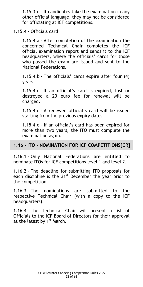1.15.3.c - If candidates take the examination in any other official language, they may not be considered for officiating at ICF competitions.

1.15.4 - Officials card

1.15.4.a - After completion of the examination the concerned Technical Chair completes the ICF official examination report and sends it to the ICF headquarters, where the officials' cards for those who passed the exam are issued and sent to the National Federations.

1.15.4.b - The officials' cards expire after four (4) years.

1.15.4.c - If an official's card is expired, lost or destroyed a 20 euro fee for renewal will be charged.

1.15.4.d - A renewed official's card will be issued starting from the previous expiry date.

1.15.4.e - If an official's card has been expired for more than two years, the ITO must complete the examination again.

### <span id="page-21-0"></span>**1.16 - ITO – NOMINATION FOR ICF COMPETITIONS[CR]**

1.16.1 - Only National Federations are entitled to nominate ITOs for ICF competitions level 1 and level 2.

1.16.2 - The deadline for submitting ITO proposals for each discipline is the  $31<sup>st</sup>$  December the year prior to the competition.

1.16.3 - The nominations are submitted to the respective Technical Chair (with a copy to the ICF headquarters).

1.16.4 - The Technical Chair will present a list of Officials to the ICF Board of Directors for their approval at the latest by 1<sup>st</sup> March.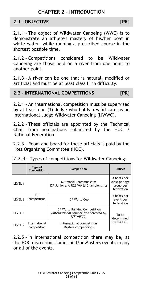#### <span id="page-22-1"></span><span id="page-22-0"></span>**2.1 - OBJECTIVE [PR]**

2.1.1 - The object of Wildwater Canoeing (WWC) is to demonstrate an athlete's mastery of his/her boat in white water, while running a prescribed course in the shortest possible time.

2.1.2 - Competitions considered to be Wildwater Canoeing are those held on a river from one point to another point.

2.1.3 - A river can be one that is natural, modified or artificial and must be at least class III in difficulty.

#### <span id="page-22-2"></span>**2.2 - INTERNATIONAL COMPETITIONS [PR]**

2.2.1 - An international competition must be supervised by at least one (1) Judge who holds a valid card as an International Judge Wildwater Canoeing (IJWWC).

2.2.2 - These officials are appointed by the Technical Chair from nominations submitted by the HOC / National Federation.

2.2.3 - Room and board for these officials is paid by the Host Organising Committee (HOC).

| 2.2.4 - Types of competitions for Wildwater Canoeing: |  |  |  |  |  |  |  |  |  |  |  |
|-------------------------------------------------------|--|--|--|--|--|--|--|--|--|--|--|
|-------------------------------------------------------|--|--|--|--|--|--|--|--|--|--|--|

|         | Type of<br>Competition       | Competition                                                                          | <b>Entries</b>                                          |
|---------|------------------------------|--------------------------------------------------------------------------------------|---------------------------------------------------------|
| LEVEL 1 |                              | <b>ICF World Championships</b><br>ICF Junior and U23 World Championships             | 4 boats per<br>class per age<br>group per<br>federation |
| LEVEL 2 | <b>ICF</b><br>competition    | ICF World Cup                                                                        | 6 boats per<br>event per<br>federation                  |
| LEVEL 3 |                              | ICF World Ranking Competition<br>(International competition selected by<br>ICF WWCC) | To be<br>determined                                     |
| LEVEL 4 | International<br>competition | International competition<br>Masters competitions                                    | by the HOC                                              |

2.2.5 - In International competition there may be, at the HOC discretion, Junior and/or Masters events in any or all of the events.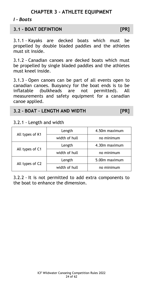### **CHAPTER 3 - ATHLETE EQUIPMENT**

#### <span id="page-23-1"></span><span id="page-23-0"></span>*I - Boats*

#### <span id="page-23-2"></span>**3.1 - BOAT DEFINTION [PR]**

3.1.1 - Kayaks are decked boats which must be propelled by double bladed paddles and the athletes must sit inside.

3.1.2 - Canadian canoes are decked boats which must be propelled by single bladed paddles and the athletes must kneel inside.

3.1.3 - Open canoes can be part of all events open to canadian canoes. Buoyancy for the boat ends is to be inflatable (bulkheads are not permitted). All measurements and safety equipment for a canadian canoe applied.

#### <span id="page-23-3"></span>**3.2 - BOAT – LENGTH AND WIDTH [PR]**

3.2.1 - Length and width

|                 | Length        | 4.50m maximum |  |  |
|-----------------|---------------|---------------|--|--|
| All types of K1 | width of hull | no minimum    |  |  |
|                 | Length        | 4.30m maximum |  |  |
| All types of C1 | width of hull | no minimum    |  |  |
|                 | Length        | 5.00m maximum |  |  |
| All types of C2 | width of hull | no minimum    |  |  |

3.2.2 - It is not permitted to add extra components to the boat to enhance the dimension.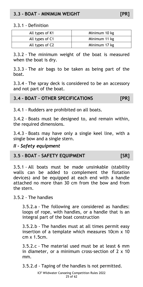#### <span id="page-24-0"></span>**3.3 - BOAT – MINIMUM WEIGHT [PR]**

#### 3.3.1 - Definition

| All types of K1 | Minimum 10 kg |
|-----------------|---------------|
| All types of C1 | Minimum 11 kg |
| All types of C2 | Minimum 17 kg |

3.3.2 - The minimum weight of the boat is measured when the boat is dry.

3.3.3 - The air bags to be taken as being part of the boat.

3.3.4 - The spray deck is considered to be an accessory and not part of the boat.

#### <span id="page-24-1"></span>**3.4 - BOAT – OTHER SPECIFICATIONS [PR]**

3.4.1 - Rudders are prohibited on all boats.

3.4.2 - Boats must be designed to, and remain within, the required dimensions.

3.4.3 - Boats may have only a single keel line, with a single bow and a single stern.

#### <span id="page-24-2"></span>*II - Safety equipment*

#### <span id="page-24-3"></span>**3.5 - BOAT – SAFETY EQUIPMENT [SR]**

3.5.1 - All boats must be made unsinkable (stability walls can be added to complement the flotation devices) and be equipped at each end with a handle attached no more than 30 cm from the bow and from the stern.

3.5.2 - The handles

3.5.2.a - The following are considered as handles: loops of rope, with handles, or a handle that is an integral part of the boat construction

3.5.2.b - The handles must at all times permit easy insertion of a template which measures 10cm x 10 cm x 1.5cm.

3.5.2.c - The material used must be at least 6 mm in diameter, or a minimum cross-section of 2 x 10 mm.

3.5.2.d - Taping of the handles is not permitted.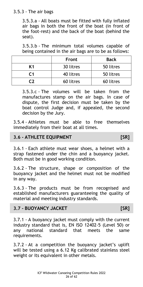#### 3.5.3 - The air bags

3.5.3.a - All boats must be fitted with fully inflated air bags in both the front of the boat (in front of the foot-rest) and the back of the boat (behind the seat).

3.5.3.b - The minimum total volumes capable of being contained in the air bags are to be as follows:

|                | <b>Front</b> | <b>Back</b> |
|----------------|--------------|-------------|
| K <sub>1</sub> | 30 litres    | 50 litres   |
| C <sub>1</sub> | 40 litres    | 50 litres   |
| C 2            | 60 litres    | 60 litres   |

3.5.3.c - The volumes will be taken from the manufactures stamp on the air bags. In case of dispute, the first decision must be taken by the boat control Judge and, if appealed, the second decision by the Jury.

3.5.4 - Athletes must be able to free themselves immediately from their boat at all times.

#### <span id="page-25-0"></span>**3.6 - ATHLETE EQUIPMENT [SR]**

3.6.1 - Each athlete must wear shoes, a helmet with a strap fastened under the chin and a buoyancy jacket. Both must be in good working condition.

3.6.2 - The structure, shape or composition of the buoyancy jacket and the helmet must not be modified in any way.

3.6.3 - The products must be from recognised and established manufacturers guaranteeing the quality of material and meeting industry standards.

#### <span id="page-25-1"></span>**3.7 - BUOYANCY JACKET [SR]**

3.7.1 - A buoyancy jacket must comply with the current industry standard that is, EN ISO 12402-5 (Level 50) or any national standard that meets the same requirements.

3.7.2 - At a competition the buoyancy jacket's uplift will be tested using a 6.12 Kg calibrated stainless steel weight or its equivalent in other metals.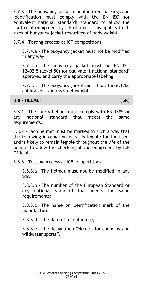3.7.3 - The buoyancy jacket manufacturer markings and identification must comply with the EN ISO (or equivalent national standard) standard to allow the control of equipment by ICF officials. This applies to all sizes of buoyancy jacket regardless of body weight.

3.7.4 - Testing process at ICF competitions:

3.7.4.a - The buoyancy jacket must not be modified in any way.

3.7.4.b - The buoyancy jacket must be EN ISO 12402-5 (Level 50) (or equivalent national standard) approved and carry the appropriate labeling.

3.7.4.c - The buoyancy jacket must float the 6.12kg calibrated stainless steel weight.

#### <span id="page-26-0"></span>**3.8 - HELMET [SR]**

3.8.1 - The safety helmet must comply with EN 1385 or any national standard that meets the same requirements.

3.8.2 - Each helmet must be marked in such a way that the following information is easily legible for the user, and is likely to remain legible throughout the life of the helmet to allow the checking of the equipment by ICF Officials.

3.8.3 - Testing process at ICF competitions:

3.8.3.a - The helmet must not be modified in any way.

3.8.3.b - The number of the European Standard or any national standard that meets the same requirements;

3.8.3.c - The name or identification mark of the manufacturer;

3.8.3.d - The date of manufacture;

3.8.3.e - The designation "Helmet for canoeing and wildwater sports".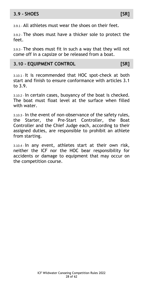### <span id="page-27-0"></span>**3.9 - SHOES [SR]**

3.9.1 - All athletes must wear the shoes on their feet.

3.9.2 - The shoes must have a thicker sole to protect the feet.

3.9.3 - The shoes must fit in such a way that they will not come off in a capsize or be released from a boat.

#### <span id="page-27-1"></span>**3.10 - EQUIPMENT CONTROL [SR]**

3.10.1 - It is recommended that HOC spot-check at both start and finish to ensure conformance with articles 3.1 to 3.9.

3.10.2 - In certain cases, buoyancy of the boat is checked. The boat must float level at the surface when filled with water.

3.10.3 - In the event of non-observance of the safety rules, the Starter, the Pre-Start Controller, the Boat Controller and the Chief Judge each, according to their assigned duties, are responsible to prohibit an athlete from starting.

3.10.4 - In any event, athletes start at their own risk, neither the ICF nor the HOC bear responsibility for accidents or damage to equipment that may occur on the competition course.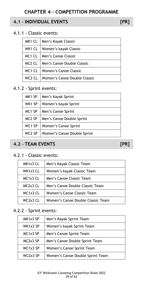### <span id="page-28-1"></span><span id="page-28-0"></span>**4.1 - INDIVIDUAL EVENTS [PR]**

#### 4.1.1 - Classic events:

| MK1 CL   Men's Kayak Classic                    |
|-------------------------------------------------|
| WK1 CL   Women's kayak Classic                  |
| MC1 CL   Men's Canoe Classic                    |
| MC <sub>2</sub> CL   Men's Canoe Double Classic |
| WC1 CL   Women's Canoe Classic                  |
| WC2 CL   Women's Canoe Double Classic           |

### 4.1.2 - Sprint events:

| MK1 SP             | Men's Kayak Sprint          |
|--------------------|-----------------------------|
| WK1 SP             | Women's kayak Sprint        |
| MC1 SP             | Men's Canoe Sprint          |
| MC <sub>2</sub> SP | Men's Canoe Double Sprint   |
| WC <sub>1</sub> SP | Women's Canoe Sprint        |
| WC2 SP             | Women's Canoe Double Sprint |

### <span id="page-28-2"></span>**4.2 - TEAM EVENTS [PR]**

#### 4.2.1 - Classic events:

| MK1x3 CL | Men's Kayak Classic Team          |
|----------|-----------------------------------|
| WK1x3 CL | Women's kayak Classic Team        |
| MC1x3 CL | Men's Canoe Classic Team          |
| MC2x3 CL | Men's Canoe Double Classic Team   |
| WC1x3 CL | Women's Canoe Classic Team        |
| WC2x3 CL | Women's Canoe Double Classic Team |

#### 4.2.2 - Sprint events:

| MK1x3 SP              | Men's Kayak Sprint Team          |
|-----------------------|----------------------------------|
| WK1x3 SP              | Women's kayak Sprint Team        |
| $MC1x3$ SP            | Men's Canoe Sprint Team          |
| MC <sub>2x</sub> 3 SP | Men's Canoe Double Sprint Team   |
| WC1x3 SP              | Women's Canoe Sprint Team        |
| WC2x3 SP              | Women's Canoe Double Sprint Team |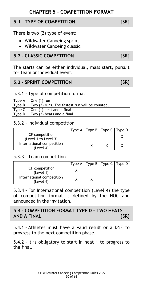#### <span id="page-29-1"></span><span id="page-29-0"></span>**5.1 - TYPE OF COMPETITION [SR]**

There is two (2) type of event:

- Wildwater Canoeing sprint
- Wildwater Canoeing classic

### <span id="page-29-2"></span>**5.2 - CLASSIC COMPETITION [SR]**

The starts can be either individual, mass start, pursuit for team or individual event.

### <span id="page-29-3"></span>**5.3 - SPRINT COMPETITION [SR]**

#### 5.3.1 - Type of competition format

|        | Type A $\vert$ One (1) run                     |
|--------|------------------------------------------------|
| Type B | Two (2) runs. The fastest run will be counted. |
|        | Type $C \mid$ One (1) heat and a final         |
| Type D | Two (2) heats and a final                      |

#### 5.3.2 - Individual competition

|                                         | Type A | Type B | Type $C$ | Type D |
|-----------------------------------------|--------|--------|----------|--------|
| ICF competition<br>(Level 1 to Level 3) |        |        |          |        |
| International competition<br>(Level 4)  |        |        |          |        |

#### 5.3.3 - Team competition

|                                        | Type A | Type $B \mid Type C$ | Tvpe D |
|----------------------------------------|--------|----------------------|--------|
| ICF competition<br>(Level 1)           |        |                      |        |
| International competition<br>(Level 4) |        |                      |        |

5.3.4 - For International competition (Level 4) the type of competition format is defined by the HOC and announced in the invitation.

#### <span id="page-29-4"></span>**5.4 - COMPETITION FORMAT TYPE D – TWO HEATS AND A FINAL [SR]**

5.4.1 - Athletes must have a valid result or a DNF to progress to the next competition phase.

5.4.2 - It is obligatory to start in heat 1 to progress to the final.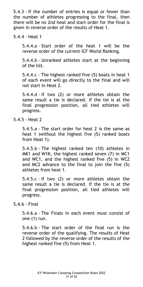5.4.3 - If the number of entries is equal or fewer than the number of athletes progressing to the final, then there will be no 2nd heat and start order for the final is given in reverse order of the results of Heat 1.

5.4.4 - Heat 1

5.4.4.a - Start order of the heat 1 will be the reverse order of the current ICF World Ranking.

5.4.4.b - Unranked athletes start at the beginning of the list.

5.4.4.c - The highest ranked five (5) boats in heat 1 of each event will go directly to the final and will not start in Heat 2.

5.4.4.d - If two (2) or more athletes obtain the same result a tie is declared. If the tie is at the final progression position, all tied athletes will progress.

5.4.5 - Heat 2

5.4.5.a - The start order for heat 2 is the same as heat 1 (without the highest five (5) ranked boats from Heat 1).

5.4.5.b - The highest ranked ten (10) athletes in MK1 and W1K, the highest ranked seven (7) in MC1 and WC1, and the highest ranked five (5) in WC2 and MC2 advance to the final to join the five (5) athletes from heat 1.

5.4.5.c - If two (2) or more athletes obtain the same result a tie is declared. If the tie is at the final progression position, all tied athletes will progress.

5.4.6 - Final

5.4.6.a - The Finals in each event must consist of one (1) run.

5.4.6.b - The start order of the final run is the reverse order of the qualifying. The results of Heat 2 followed by the reverse order of the results of the highest ranked five (5) from Heat 1.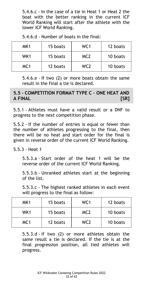5.4.6.c - In the case of a tie in Heat 1 or Heat 2 the boat with the better ranking in the current ICF World Ranking will start after the athlete with the lower ICF World Ranking.

| MK1             | 15 boats | WC <sub>1</sub> | 12 boats |
|-----------------|----------|-----------------|----------|
| WK1             | 15 boats | MC <sub>2</sub> | 10 boats |
| MC <sub>1</sub> | 12 boats | WC2             | 10 boats |

5.4.6.d - Number of boats in the final:

5.4.6.e - If two (2) or more boats obtain the same result in the final a tie is declared.

#### <span id="page-31-0"></span>**5.5 - COMPETITION FORMAT TYPE C – ONE HEAT AND A FINAL [SR]**

5.5.1 - Athletes must have a valid result or a DNF to progress to the next competition phase.

5.5.2 - If the number of entries is equal or fewer than the number of athletes progressing to the final, then there will be no heat and start order for the final is given in reverse order of the current ICF World Ranking.

5.5.3 - Heat 1

5.5.3.a - Start order of the heat 1 will be the reverse order of the current ICF World Ranking.

5.5.3.b - Unranked athletes start at the beginning of the list.

5.5.3.c - The highest ranked athletes in each event will progress to the final as follow:

| MK1             | 15 boats | WC1             | 12 boats |
|-----------------|----------|-----------------|----------|
| WK1             | 15 boats | MC <sub>2</sub> | 10 boats |
| MC <sub>1</sub> | 12 boats | WC2             | 10 boats |

5.5.3.d - If two (2) or more athletes obtain the same result a tie is declared. If the tie is at the final progression position, all tied athletes will progress.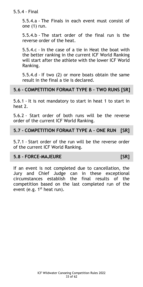5.5.4 - Final

5.5.4.a - The Finals in each event must consist of one (1) run.

5.5.4.b - The start order of the final run is the reverse order of the heat.

5.5.4.c - In the case of a tie in Heat the boat with the better ranking in the current ICF World Ranking will start after the athlete with the lower ICF World Ranking.

5.5.4.d - If two (2) or more boats obtain the same result in the final a tie is declared.

#### <span id="page-32-0"></span>**5.6 - COMPETITION FORMAT TYPE B – TWO RUNS [SR]**

5.6.1 - It is not mandatory to start in heat 1 to start in heat 2.

5.6.2 - Start order of both runs will be the reverse order of the current ICF World Ranking.

#### <span id="page-32-1"></span>**5.7 - COMPETITION FORMAT TYPE A – ONE RUN [SR]**

5.7.1 - Start order of the run will be the reverse order of the current ICF World Ranking.

#### <span id="page-32-2"></span>**5.8 - FORCE-MAJEURE [SR]**

#### If an event is not completed due to cancellation, the Jury and Chief Judge can in these exceptional circumstances establish the final results of the competition based on the last completed run of the event (e.g.  $1^{st}$  heat run).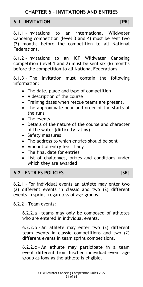#### <span id="page-33-1"></span><span id="page-33-0"></span>**6.1 - INVITATION [PR]**

6.1.1 - Invitations to an international Wildwater Canoeing competition (level 3 and 4) must be sent two (2) months before the competition to all National Federations.

6.1.2 - Invitations to an ICF Wildwater Canoeing competition (level 1 and 2) must be sent six (6) months before the competition to all National Federations.

6.1.3 - The invitation must contain the following information:

- The date, place and type of competition
- A description of the course
- Training dates when rescue teams are present.
- The approximate hour and order of the starts of the runs
- The events
- Details of the nature of the course and character of the water (difficulty rating)
- Safety measures
- The address to which entries should be sent
- Amount of entry fee, if any
- The final date for entries
- List of challenges, prizes and conditions under which they are awarded

#### <span id="page-33-2"></span>**6.2 - ENTRIES POLICIES [SR]**

6.2.1 - For individual events an athlete may enter two (2) different events in classic and two (2) different events in sprint, regardless of age groups.

6.2.2 - Team events:

6.2.2.a - teams may only be composed of athletes who are entered in individual events.

6.2.2.b - An athlete may enter two (2) different team events in classic competitions and two (2) different events in team sprint competitions.

6.2.2.c - An athlete may participate in a team event different from his/her individual event age group as long as the athlete is eligible.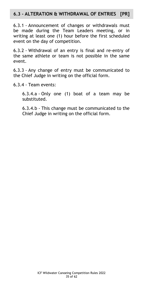#### <span id="page-34-0"></span>**6.3 - ALTERATION & WITHDRAWAL OF ENTRIES [PR]**

6.3.1 - Announcement of changes or withdrawals must be made during the Team Leaders meeting, or in writing at least one (1) hour before the first scheduled event on the day of competition.

6.3.2 - Withdrawal of an entry is final and re-entry of the same athlete or team is not possible in the same event.

6.3.3 - Any change of entry must be communicated to the Chief Judge in writing on the official form.

6.3.4 - Team events:

6.3.4.a - Only one (1) boat of a team may be substituted.

6.3.4.b - This change must be communicated to the Chief Judge in writing on the official form.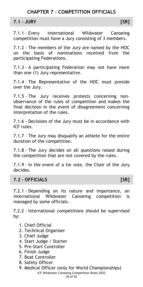<span id="page-35-1"></span><span id="page-35-0"></span>**7.1 - JURY [SR]**

7.1.1 - Every international Wildwater Canoeing competition must have a Jury consisting of 3 members.

7.1.2 - The members of the Jury are named by the HOC on the basis of nominations received from the participating Federations.

7.1.3 - A participating Federation may not have more than one (1) Jury representative.

7.1.4 - The Representative of the HOC must preside over the Jury.

7.1.5 - The Jury receives protests concerning nonobservance of the rules of competition and makes the final decision in the event of disagreement concerning interpretation of the rules.

7.1.6 - Decisions of the Jury must be in accordance with ICF rules.

7.1.7 - The Jury may disqualify an athlete for the entire duration of the competition.

7.1.8 - The Jury decides on all questions raised during the competition that are not covered by the rules.

7.1.9 - In the event of a tie vote, the Chair of the Jury decides.

<span id="page-35-2"></span>**7.2 - OFFICIALS [SR]**

7.2.1 - Depending on its nature and importance, an international Wildwater Canoeing competition is managed by some officials.

7.2.2 - International competitions should be supervised by:

- 1. Chief Official
- 2. Technical Organiser
- 3. Chief Judge
- 4. Start Judge / Starter
- 5. Pre-Start Controller
- 6. Finish Judge
- 7. Boat Controller
- 8. Safety Officer
- ICF Wildwater Canoeing Competition Rules 2022 36 of 62 9. Medical Officer (only for World Championships)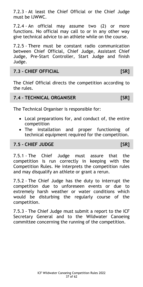7.2.3 - At least the Chief Official or the Chief Judge must be IJWWC.

7.2.4 - An official may assume two (2) or more functions. No official may call to or in any other way give technical advice to an athlete while on the course.

7.2.5 - There must be constant radio communication between Chief Official, Chief Judge, Assistant Chief Judge, Pre-Start Controller, Start Judge and finish Judge.

### <span id="page-36-0"></span>**7.3 - CHIEF OFFICIAL [SR]**

The Chief Official directs the competition according to the rules.

#### <span id="page-36-1"></span>**7.4 - TECHNICAL ORGANISER [SR]**

The Technical Organiser is responsible for:

- Local preparations for, and conduct of, the entire competition
- The installation and proper functioning of technical equipment required for the competition.

### <span id="page-36-2"></span>**7.5 - CHIEF JUDGE [SR]**

7.5.1 - The Chief Judge must assure that the competition is run correctly in keeping with the Competition Rules. He interprets the competition rules and may disqualify an athlete or grant a rerun.

7.5.2 - The Chief Judge has the duty to interrupt the competition due to unforeseen events or due to extremely harsh weather or water conditions which would be disturbing the regularly course of the competition.

7.5.3 - The Chief Judge must submit a report to the ICF Secretary General and to the Wildwater Canoeing committee concerning the running of the competition.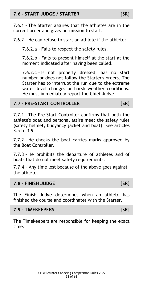### <span id="page-37-0"></span>**7.6 - START JUDGE / STARTER [SR]**

7.6.1 - The Starter assures that the athletes are in the correct order and gives permission to start.

7.6.2 - He can refuse to start an athlete if the athlete:

7.6.2.a - Fails to respect the safety rules.

7.6.2.b - Fails to present himself at the start at the moment indicated after having been called.

7.6.2.c - Is not properly dressed, has no start number or does not follow the Starter's orders. The Starter has to interrupt the run due to the extreme water level changes or harsh weather conditions. He must immediately report the Chief Judge.

#### <span id="page-37-1"></span>**7.7 - PRE-START CONTROLLER [SR]**

7.7.1 - The Pre-Start Controller confirms that both the athlete's boat and personal attire meet the safety rules (safety helmet, buoyancy jacket and boat). See articles 3.5 to 3.9.

7.7.2 - He checks the boat carries marks approved by the Boat Controller.

7.7.3 - He prohibits the departure of athletes and of boats that do not meet safety requirements.

7.7.4 - Any time lost because of the above goes against the athlete.

#### <span id="page-37-2"></span>**7.8 - FINISH JUDGE [SR]**

The Finish Judge determines when an athlete has finished the course and coordinates with the Starter.

#### <span id="page-37-3"></span>**7.9 - TIMEKEEPERS [SR]**

The Timekeepers are responsible for keeping the exact time.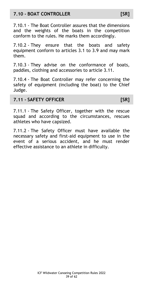#### <span id="page-38-0"></span>**7.10 - BOAT CONTROLLER [SR]**

7.10.1 - The Boat Controller assures that the dimensions and the weights of the boats in the competition conform to the rules. He marks them accordingly.

7.10.2 - They ensure that the boats and safety equipment conform to articles 3.1 to 3.9 and may mark them.

7.10.3 - They advise on the conformance of boats, paddles, clothing and accessories to article 3.11.

7.10.4 - The Boat Controller may refer concerning the safety of equipment (including the boat) to the Chief Judge.

#### <span id="page-38-1"></span>**7.11 - SAFETY OFFICER [SR]**

7.11.1 - The Safety Officer, together with the rescue squad and according to the circumstances, rescues athletes who have capsized.

7.11.2 - The Safety Officer must have available the necessary safety and first-aid equipment to use in the event of a serious accident, and he must render effective assistance to an athlete in difficulty.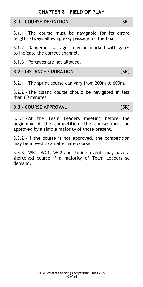### **CHAPTER 8 - FIELD OF PLAY**

#### <span id="page-39-1"></span><span id="page-39-0"></span>**8.1 - COURSE DEFINITION [SR]**

8.1.1 - The course must be navigable for its entire length, always allowing easy passage for the boat.

8.1.2 - Dangerous passages may be marked with gates to indicate the correct channel.

8.1.3 - Portages are not allowed.

#### <span id="page-39-2"></span>**8.2 - DISTANCE / DURATION [SR]**

8.2.1 - The sprint course can vary from 200m to 600m.

8.2.2 - The classic course should be navigated in less than 60 minutes.

#### <span id="page-39-3"></span>**8.3 - COURSE APPROVAL [SR]**

8.3.1 - At the Team Leaders meeting before the beginning of the competition, the course must be approved by a simple majority of those present.

8.3.2 - If the course is not approved, the competition may be moved to an alternate course.

8.3.3 - WK1, WC1, WC2 and Juniors events may have a shortened course if a majority of Team Leaders so demand.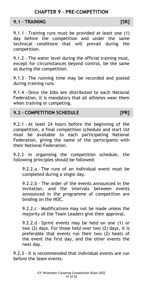#### <span id="page-40-1"></span><span id="page-40-0"></span>**9.1 - TRAINING [SR]**

9.1.1 - Training runs must be provided at least one (1) day before the competition and under the same technical conditions that will prevail during the competition.

9.1.2 - The water level during the official training must, except for circumstances beyond control, be the same as during the competition.

9.1.3 - The running time may be recorded and posted during training runs.

9.1.4 - Once the bibs are distributed to each National Federation, it is mandatory that all athletes wear them when training or competing.

#### <span id="page-40-2"></span>**9.2 - COMPETITION SCHEDULE [PR]**

9.2.1 - At least 24 hours before the beginning of the competition, a final competition schedule and start list must be available to each participating National Federation, giving the name of the participants with their National Federation.

9.2.2 - In organising the competition schedule, the following principles should be followed:

9.2.2.a - The runs of an individual event must be completed during a single day.

9.2.2.b - The order of the events announced in the invitation, and the intervals between events announced in the programme of competition are binding on the HOC.

9.2.2.c - Modifications may not be made unless the majority of the Team Leaders give their approval.

9.2.2.d - Sprint events may be held on one (1) or two (2) days. For those held over two (2) days, it is preferable that events run their two (2) heats of the event the first day, and the other events the next day.

9.2.3 - It is recommended that individual events are run before the team events.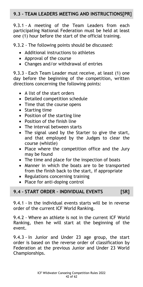<span id="page-41-0"></span>9.3.1 - A meeting of the Team Leaders from each participating National Federation must be held at least one (1) hour before the start of the official training.

9.3.2 - The following points should be discussed:

- Additional instructions to athletes
- Approval of the course
- Changes and/or withdrawal of entries

9.3.3 - Each Team Leader must receive, at least (1) one day before the beginning of the competition, written directions concerning the following points:

- A list of the start orders
- Detailed competition schedule
- Time that the course opens
- Starting time
- Position of the starting line
- Position of the finish line
- The interval between starts
- The signal used by the Starter to give the start, and that employed by the Judges to clear the course (whistle)
- Place where the competition office and the Jury may be found
- The time and place for the inspection of boats
- Manner in which the boats are to be transported from the finish back to the start, if appropriate
- Regulations concerning training
- Place for anti-doping control

### <span id="page-41-1"></span>**9.4 - START ORDER – INDIVIDUAL EVENTS [SR]**

9.4.1 - In the individual events starts will be in reverse order of the current ICF World Ranking.

9.4.2 - Where an athlete is not in the current ICF World Ranking, then he will start at the beginning of the event.

9.4.3 - In Junior and Under 23 age group, the start order is based on the reverse order of classification by Federation at the previous Junior and Under 23 World Championships.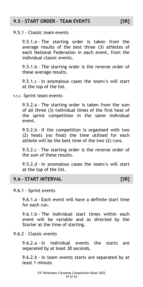#### <span id="page-42-0"></span>**9.5 - START ORDER – TEAM EVENTS [SR]**

#### 9.5.1 - Classic team events

9.5.1.a - The starting order is taken from the average results of the best three (3) athletes of each National Federation in each event, from the individual classic events.

9.5.1.b - The starting order is the reverse order of these average results.

9.5.1.c - In anomalous cases the team/s will start at the top of the list.

9.5.2 - Sprint team events

9.5.2.a - The starting order is taken from the sum of all three (3) individual times of the first heat of the sprint competition in the same individual event.

9.5.2.b - If the competition is organised with two (2) heats (no final) the time utilised for each athlete will be the best time of the two (2) runs.

9.5.2.c - The starting order is the reverse order of the sum of these results.

9.5.2.d - In anomalous cases the team/s will start at the top of the list.

#### <span id="page-42-1"></span>**9.6 - START INTERVAL [SR]**

9.6.1 - Sprint events

9.6.1.a - Each event will have a definite start time for each run.

9.6.1.b - The individual start times within each event will be variable and as directed by the Starter at the time of starting.

#### 9.6.2 - Classic events

9.6.2.a - In individual events the starts are separated by at least 30 seconds.

9.6.2.b - In team events starts are separated by at least 1 minute.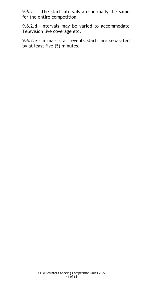9.6.2.c - The start intervals are normally the same for the entire competition.

9.6.2.d - Intervals may be varied to accommodate Television live coverage etc.

9.6.2.e - In mass start events starts are separated by at least five (5) minutes.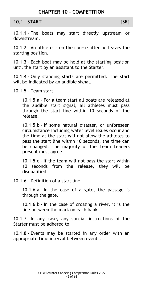#### **CHAPTER 10 - COMPETITION**

#### <span id="page-44-1"></span><span id="page-44-0"></span>**10.1 - START [SR]**

10.1.1 - The boats may start directly upstream or downstream.

10.1.2 - An athlete is on the course after he leaves the starting position.

10.1.3 - Each boat may be held at the starting position until the start by an assistant to the Starter.

10.1.4 - Only standing starts are permitted. The start will be indicated by an audible signal.

10.1.5 - Team start

10.1.5.a - For a team start all boats are released at the audible start signal, all athletes must pass through the start line within 10 seconds of the release.

10.1.5.b - If some natural disaster, or unforeseen circumstance including water level issues occur and the time at the start will not allow the athletes to pass the start line within 10 seconds, the time can be changed. The majority of the Team Leaders present must agree.

10.1.5.c - If the team will not pass the start within 10 seconds from the release, they will be disqualified.

10.1.6 - Definition of a start line:

10.1.6.a - In the case of a gate, the passage is through the gate.

10.1.6.b - In the case of crossing a river, it is the line between the mark on each bank.

10.1.7 - In any case, any special instructions of the Starter must be adhered to.

10.1.8 - Events may be started in any order with an appropriate time interval between events.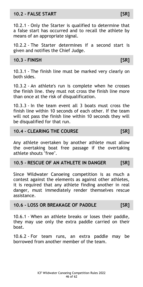#### <span id="page-45-0"></span>**10.2 - FALSE START [SR]**

10.2.1 - Only the Starter is qualified to determine that a false start has occurred and to recall the athlete by means of an appropriate signal.

10.2.2 - The Starter determines if a second start is given and notifies the Chief Judge.

#### <span id="page-45-1"></span>**10.3 - FINISH [SR]**

10.3.1 - The finish line must be marked very clearly on both sides.

10.3.2 - An athlete's run is complete when he crosses the finish line. they must not cross the finish line more than once at the risk of disqualification.

10.3.3 - In the team event all 3 boats must cross the finish line within 10 seconds of each other. If the team will not pass the finish line within 10 seconds they will be disqualified for that run.

#### <span id="page-45-2"></span>**10.4 - CLEARING THE COURSE [SR]**

Any athlete overtaken by another athlete must allow the overtaking boat free passage if the overtaking athlete shouts "free".

#### <span id="page-45-3"></span>**10.5 - RESCUE OF AN ATHLETE IN DANGER [SR]**

Since Wildwater Canoeing competition is as much a contest against the elements as against other athletes, it is required that any athlete finding another in real danger, must immediately render themselves rescue assistance.

#### <span id="page-45-4"></span>**10.6 - LOSS OR BREAKAGE OF PADDLE [SR]**

10.6.1 - When an athlete breaks or loses their paddle, they may use only the extra paddle carried on their boat.

10.6.2 - For team runs, an extra paddle may be borrowed from another member of the team.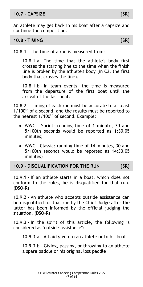#### <span id="page-46-0"></span>**10.7 - CAPSIZE [SR]**

An athlete may get back in his boat after a capsize and continue the competition.

#### <span id="page-46-1"></span>**10.8 - TIMING [SR]**

10.8.1 - The time of a run is measured from:

10.8.1.a - The time that the athlete's body first crosses the starting line to the time when the finish line is broken by the athlete's body (in C2, the first body that crosses the line).

10.8.1.b - In team events, the time is measured from the departure of the first boat until the arrival of the last boat.

10.8.2 - Timing of each run must be accurate to at least  $1/100$ <sup>th</sup> of a second, and the results must be reported to the nearest  $1/100^{th}$  of second. Example:

- WWC Sprint: running time of 1 minute, 30 and 5/100th seconds would be reported as 1:30.05 minutes;
- WWC Classic: running time of 14 minutes, 30 and 5/100th seconds would be reported as 14:30.05 minutes)

<span id="page-46-2"></span>**10.9 - DISQUALIFICATION FOR THE RUN [SR]**

10.9.1 - If an athlete starts in a boat, which does not conform to the rules, he is disqualified for that run. (DSQ-R)

10.9.2 - An athlete who accepts outside assistance can be disqualified for that run by the Chief Judge after the latter has been informed by the official judging the situation. (DSQ-R)

10.9.3 - In the spirit of this article, the following is considered as "outside assistance":

10.9.3.a - All aid given to an athlete or to his boat

10.9.3.b - Giving, passing, or throwing to an athlete a spare paddle or his original lost paddle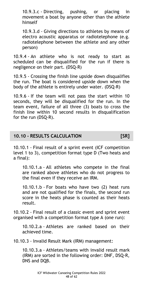10.9.3.c - Directing, pushing, or placing in movement a boat by anyone other than the athlete himself

10.9.3.d - Giving directions to athletes by means of electro acoustic apparatus or radiotelephone (e.g. radiotelephone between the athlete and any other person)

10.9.4 - An athlete who is not ready to start as scheduled can be disqualified for the run if there is negligence on their part. (DSQ-R)

10.9.5 - Crossing the finish line upside down disqualifies the run. The boat is considered upside down when the body of the athlete is entirely under water. (DSQ-R)

10.9.6 - If the team will not pass the start within 10 seconds, they will be disqualified for the run. In the team event, failure of all three (3) boats to cross the finish line within 10 second results in disqualification for the run (DSQ-R).

#### <span id="page-47-0"></span>**10.10 - RESULTS CALCULATION [SR]**

10.10.1 - Final result of a sprint event (ICF competition level 1 to 3), competition format type D (Two heats and a final):

10.10.1.a - All athletes who compete in the final are ranked above athletes who do not progress to the final even if they receive an IRM.

10.10.1.b - For boats who have two (2) heat runs and are not qualified for the finals, the second run score in the heats phase is counted as their heats result.

10.10.2 - Final result of a classic event and sprint event organised with a competition format type A (one run):

10.10.2.a - Athletes are ranked based on their achieved time.

10.10.3 - Invalid Result Mark (IRM) management:

10.10.3.a - Athletes/teams with invalid result mark (IRM) are sorted in the following order: DNF, DSQ-R, DNS and DQB.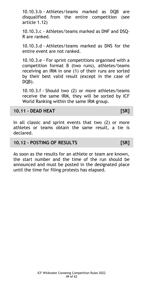10.10.3.b - Athletes/teams marked as DQB are disqualified from the entire competition (see article 1.12)

10.10.3.c - Athletes/teams marked as DNF and DSQ-R are ranked.

10.10.3.d - Athletes/teams marked as DNS for the entire event are not ranked.

10.10.3.e - For sprint competitions organised with a competition format B (two runs), athletes/teams receiving an IRM in one (1) of their runs are sorted by their best valid result (except in the case of DQB).

10.10.3.f - Should two (2) or more athletes/teams receive the same IRM, they will be sorted by ICF World Ranking within the same IRM group.

#### <span id="page-48-0"></span>**10.11 - DEAD HEAT [SR]**

In all classic and sprint events that two (2) or more athletes or teams obtain the same result, a tie is declared.

#### <span id="page-48-1"></span>**10.12 - POSTING OF RESULTS [SR]**

As soon as the results for an athlete or team are known, the start number and the time of the run should be announced and must be posted in the designated place until the time for filing protests has elapsed.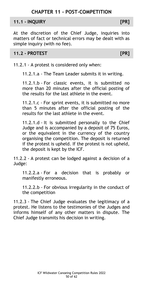#### <span id="page-49-1"></span><span id="page-49-0"></span>**11.1 - INQUIRY [PR]**

At the discretion of the Chief Judge, inquiries into matters of fact or technical errors may be dealt with as simple inquiry (with no fee).

<span id="page-49-2"></span>**11.2 - PROTEST [PR]**

11.2.1 - A protest is considered only when:

11.2.1.a - The Team Leader submits it in writing.

11.2.1.b - For classic events, it is submitted no more than 20 minutes after the official posting of the results for the last athlete in the event.

11.2.1.c - For sprint events, it is submitted no more than 5 minutes after the official posting of the results for the last athlete in the event.

11.2.1.d - It is submitted personally to the Chief Judge and is accompanied by a deposit of 75 Euros, or the equivalent in the currency of the country organising the competition. The deposit is returned if the protest is upheld. If the protest is not upheld, the deposit is kept by the ICF.

11.2.2 - A protest can be lodged against a decision of a Judge:

11.2.2.a - For a decision that is probably or manifestly erroneous.

11.2.2.b - For obvious irregularity in the conduct of the competition

11.2.3 - The Chief Judge evaluates the legitimacy of a protest. He listens to the testimonies of the Judges and informs himself of any other matters in dispute. The Chief Judge transmits his decision in writing.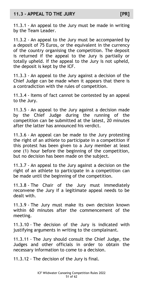#### <span id="page-50-0"></span>**11.3 - APPEAL TO THE JURY [PR]**

11.3.1 - An appeal to the Jury must be made in writing by the Team Leader.

11.3.2 - An appeal to the Jury must be accompanied by a deposit of 75 Euros, or the equivalent in the currency of the country organising the competition. The deposit is returned if the appeal to the Jury is partially or totally upheld. If the appeal to the Jury is not upheld, the deposit is kept by the ICF.

11.3.3 - An appeal to the Jury against a decision of the Chief Judge can be made when it appears that there is a contradiction with the rules of competition.

11.3.4 - Items of fact cannot be contested by an appeal to the Jury.

11.3.5 - An appeal to the Jury against a decision made by the Chief Judge during the running of the competition can be submitted at the latest, 20 minutes after the latter has announced his verdict.

11.3.6 - An appeal can be made to the Jury protesting the right of an athlete to participate in a competition if this protest has been given to a Jury member at least one (1) hour before the beginning of the competition, but no decision has been made on the subject.

11.3.7 - An appeal to the Jury against a decision on the right of an athlete to participate in a competition can be made until the beginning of the competition.

11.3.8 - The Chair of the Jury must immediately reconvene the Jury if a legitimate appeal needs to be dealt with.

11.3.9 - The Jury must make its own decision known within 60 minutes after the commencement of the meeting.

11.3.10 - The decision of the Jury is indicated with justifying arguments in writing to the complainant.

11.3.11 - The Jury should consult the Chief Judge, the Judges and other officials in order to obtain the necessary information to come to a decision.

11.3.12 - The decision of the Jury is final.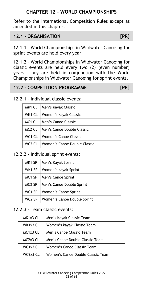### **CHAPTER 12 - WORLD CHAMPIONSHIPS**

<span id="page-51-0"></span>Refer to the International Competition Rules except as amended in this chapter.

#### <span id="page-51-1"></span>**12.1 - ORGANISATION [PR]**

12.1.1 - World Championships in Wildwater Canoeing for sprint events are held every year.

12.1.2 - World Championships in Wildwater Canoeing for classic events are held every two (2) (even number) years. They are held in conjunction with the World Championships in Wildwater Canoeing for sprint events.

#### <span id="page-51-2"></span>**12.2 - COMPETITION PROGRAMME [PR]**

12.2.1 - Individual classic events:

| MK1 CL   Men's Kayak Classic                    |
|-------------------------------------------------|
| WK1 CL   Women's kayak Classic                  |
| MC1 CL   Men's Canoe Classic                    |
| MC <sub>2</sub> CL   Men's Canoe Double Classic |
| WC1 CL   Women's Canoe Classic                  |
| WC2 CL   Women's Canoe Double Classic           |

12.2.2 - Individual sprint events:

| MK1 SP             | Men's Kayak Sprint          |
|--------------------|-----------------------------|
| WK1 SP             | Women's kayak Sprint        |
| MC <sub>1</sub> SP | Men's Canoe Sprint          |
| MC <sub>2</sub> SP | Men's Canoe Double Sprint   |
| WC <sub>1</sub> SP | Women's Canoe Sprint        |
| WC <sub>2</sub> SP | Women's Canoe Double Sprint |

#### 12.2.3 - Team classic events:

| MK1x3 CL              | Men's Kayak Classic Team          |
|-----------------------|-----------------------------------|
| WK1x3 CL              | Women's kayak Classic Team        |
| MC <sub>1x3</sub> CL  | Men's Canoe Classic Team          |
| MC <sub>2x</sub> 3 CL | Men's Canoe Double Classic Team   |
| WC1x3 CL              | Women's Canoe Classic Team        |
| WC2x3 CL              | Women's Canoe Double Classic Team |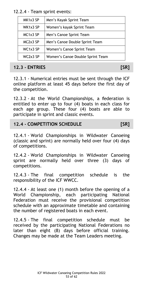12.2.4 - Team sprint events:

| MK1x3 SP   | Men's Kayak Sprint Team          |
|------------|----------------------------------|
| WK1x3 SP   | Women's kayak Sprint Team        |
| MC1x3 SP   | Men's Canoe Sprint Team          |
| $MC2x3$ SP | Men's Canoe Double Sprint Team   |
| WC1x3 SP   | Women's Canoe Sprint Team        |
| WC2x3 SP   | Women's Canoe Double Sprint Team |

<span id="page-52-0"></span>**12.3 - ENTRIES [SR]**

12.3.1 - Numerical entries must be sent through the ICF online platform at least 45 days before the first day of the competition.

12.3.2 - At the World Championships, a **f**ederation is entitled to enter up to four (4) boats in each class for each age group. These four (4) boats are able to participate in sprint and classic events.

### <span id="page-52-1"></span>**12.4 - COMPETITION SCHEDULE [SR]**

12.4.1 - World Championships in Wildwater Canoeing (classic and sprint) are normally held over four (4) days of competitions.

12.4.2 - World Championships in Wildwater Canoeing sprint are normally held over three (3) days of competitions.

12.4.3 - The final competition schedule is the responsibility of the ICF WWCC.

12.4.4 - At least one (1) month before the opening of a World Championship, each participating National Federation must receive the provisional competition schedule with an approximate timetable and containing the number of registered boats in each event.

<span id="page-52-2"></span>12.4.5 - The final competition schedule must be received by the participating National Federations no later than eight (8) days before official training. Changes may be made at the Team Leaders meeting.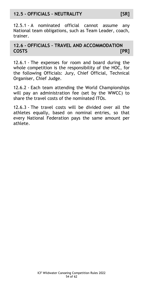#### **12.5 - OFFICIALS – NEUTRALITY [SR]**

12.5.1 - A nominated official cannot assume any National team obligations, such as Team Leader, coach, trainer.

<span id="page-53-0"></span>**12.6 - OFFICIALS – TRAVEL AND ACCOMMODATION COSTS [PR]**

12.6.1 - The expenses for room and board during the whole competition is the responsibility of the HOC, for the following Officials: Jury, Chief Official, Technical Organiser, Chief Judge.

12.6.2 - Each team attending the World Championships will pay an administration fee (set by the WWCC) to share the travel costs of the nominated ITOs.

12.6.3 - The travel costs will be divided over all the athletes equally, based on nominal entries, so that every National Federation pays the same amount per athlete.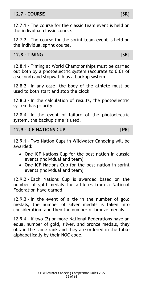### <span id="page-54-0"></span>**12.7 - COURSE [SR]**

12.7.1 - The course for the classic team event is held on the individual classic course.

12.7.2 - The course for the sprint team event is held on the individual sprint course.

#### <span id="page-54-1"></span>**12.8 - TIMING [SR]**

12.8.1 - Timing at World Championships must be carried out both by a photoelectric system (accurate to 0.01 of a second) and stopwatch as a backup system.

12.8.2 - In any case, the body of the athlete must be used to both start and stop the clock.

12.8.3 - In the calculation of results, the photoelectric system has priority.

12.8.4 - In the event of failure of the photoelectric system, the backup time is used.

#### <span id="page-54-2"></span>**12.9 - ICF NATIONS CUP [PR]**

12.9.1 - Two Nation Cups in Wildwater Canoeing will be awarded:

- One ICF Nations Cup for the best nation in classic events (individual and team)
- One ICF Nations Cup for the best nation in sprint events (individual and team)

12.9.2 - Each Nations Cup is awarded based on the number of gold medals the athletes from a National Federation have earned.

12.9.3 - In the event of a tie in the number of gold medals, the number of silver medals is taken into consideration, and then the number of bronze medals.

12.9.4 - If two (2) or more National Federations have an equal number of gold, silver, and bronze medals, they obtain the same rank and they are ordered in the table alphabetically by their NOC code.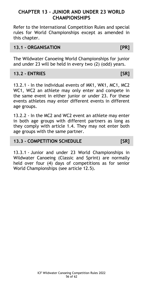### <span id="page-55-0"></span>**CHAPTER 13 - JUNIOR AND UNDER 23 WORLD CHAMPIONSHIPS**

Refer to the International Competition Rules and special rules for World Championships except as amended in this chapter.

#### <span id="page-55-1"></span>**13.1 - ORGANISATION [PR]**

The Wildwater Canoeing World Championships for junior and under 23 will be held in every two (2) (odd) years.

#### <span id="page-55-2"></span>**13.2 - ENTRIES [SR]**

13.2.1 - In the individual events of MK1, WK1, MC1, MC2 WC1, WC2 an athlete may only enter and compete in the same event in either junior or under 23. For these events athletes may enter different events in different age groups.

13.2.2 - In the MC2 and WC2 event an athlete may enter in both age groups with different partners as long as they comply with article 1.4. They may not enter both age groups with the same partner.

#### <span id="page-55-3"></span>**13.3 - COMPETITION SCHEDULE [SR]**

13.3.1 - Junior and under 23 World Championships in Wildwater Canoeing (Classic and Sprint) are normally held over four (4) days of competitions as for senior World Championships (see article 12.5).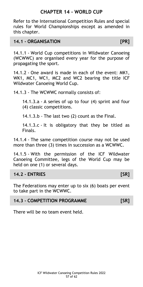#### **CHAPTER 14 - WORLD CUP**

<span id="page-56-0"></span>Refer to the International Competition Rules and special rules for World Championships except as amended in this chapter.

#### <span id="page-56-1"></span>**14.1 - ORGANISATION [PR]**

14.1.1 - World Cup competitions in Wildwater Canoeing (WCWWC) are organised every year for the purpose of propagating the sport.

14.1.2 - One award is made in each of the event: MK1, WK1, MC1, WC1, MC2 and WC2 bearing the title ICF Wildwater Canoeing World Cup.

14.1.3 - The WCWWC normally consists of:

14.1.3.a - A series of up to four (4) sprint and four (4) classic competitions.

14.1.3.b - The last two (2) count as the Final.

14.1.3.c - It is obligatory that they be titled as Finals.

14.1.4 - The same competition course may not be used more than three (3) times in succession as a WCWWC.

14.1.5 - With the permission of the ICF Wildwater Canoeing Committee, legs of the World Cup may be held on one (1) or several days.

<span id="page-56-2"></span>**14.2 - ENTRIES [SR]**

The Federations may enter up to six (6) boats per event to take part in the WCWWC.

#### <span id="page-56-3"></span>**14.3 - COMPETITION PROGRAMME [SR]**

There will be no team event held.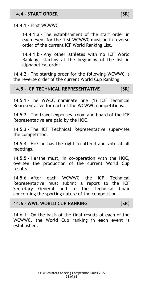#### <span id="page-57-0"></span>**14.4 - START ORDER [SR]**

#### 14.4.1 - First WCWWC

14.4.1.a - The establishment of the start order in each event for the first WCWWC must be in reverse order of the current ICF World Ranking List.

14.4.1.b - Any other athletes with no ICF World Ranking, starting at the beginning of the list in alphabetical order.

14.4.2 - The starting order for the following WCWWC is the reverse order of the current World Cup Ranking.

#### <span id="page-57-1"></span>**14.5 - ICF TECHNICAL REPRESENTATIVE [SR]**

14.5.1 - The WWCC nominate one (1) ICF Technical Representative for each of the WCWWC competitions.

14.5.2 - The travel expenses, room and board of the ICF Representative are paid by the HOC.

14.5.3 - The ICF Technical Representative supervises the competition.

14.5.4 - He/she has the right to attend and vote at all meetings.

14.5.5 - He/she must, in co-operation with the HOC, oversee the production of the current World Cup results.

14.5.6 - After each WCWWC the ICF Technical Representative must submit a report to the ICF Secretary General and to the Technical Chair concerning the sporting nature of the competition.

#### <span id="page-57-2"></span>**14.6 - WWC WORLD CUP RANKING [SR]**

14.6.1 - On the basis of the final results of each of the WCWWC, the World Cup ranking in each event is established.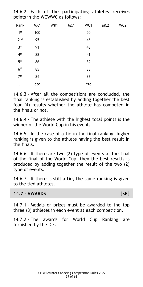14.6.2 - Each of the participating athletes receives points in the WCWWC as follows:

| Rank                    | MK1 | WK1 | MC1 | WC1 | MC <sub>2</sub> | WC <sub>2</sub> |
|-------------------------|-----|-----|-----|-----|-----------------|-----------------|
| 1 <sup>st</sup>         | 100 | 50  |     |     |                 |                 |
| 2 <sub>nd</sub>         | 95  | 46  |     |     |                 |                 |
| 3 <sup>rd</sup>         | 91  | 43  |     |     |                 |                 |
| 4 <sup>th</sup>         | 88  | 41  |     |     |                 |                 |
| 5 <sup>th</sup>         | 86  | 39  |     |     |                 |                 |
| 6 <sup>th</sup>         | 85  | 38  |     |     |                 |                 |
| 7 <sup>th</sup>         | 84  | 37  |     |     |                 |                 |
| $\bullet\bullet\bullet$ | etc | etc |     |     |                 |                 |

14.6.3 - After all the competitions are concluded, the final ranking is established by adding together the best four (4) results whether the athlete has competed in the finals or not.

14.6.4 - The athlete with the highest total points is the winner of the World Cup in his event.

14.6.5 - In the case of a tie in the final ranking, higher ranking is given to the athlete having the best result in the finals.

14.6.6 - If there are two (2) type of events at the final of the final of the World Cup, then the best results is produced by adding together the result of the two (2) type of events.

14.6.7 - If there is still a tie, the same ranking is given to the tied athletes.

#### <span id="page-58-0"></span>**14.7 - AWARDS [SR]**

14.7.1 - Medals or prizes must be awarded to the top three (3) athletes in each event at each competition.

14.7.2 - The awards for World Cup Ranking are furnished by the ICF.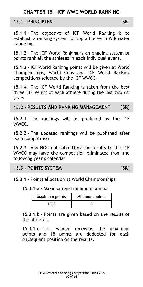### **CHAPTER 15 - ICF WWC WORLD RANKING**

#### <span id="page-59-1"></span><span id="page-59-0"></span>**15.1 - PRINCIPLES [SR]**

15.1.1 - The objective of ICF World Ranking is to establish a ranking system for top athletes in Wildwater Canoeing.

15.1.2 - The ICF World Ranking is an ongoing system of points rank all the athletes in each individual event.

15.1.3 - ICF World Ranking points will be given at World Championships, World Cups and ICF World Ranking competitions selected by the ICF WWCC.

15.1.4 - The ICF World Ranking is taken from the best three (3) results of each athlete during the last two (2) years.

#### <span id="page-59-2"></span>**15.2 - RESULTS AND RANKING MANAGEMENT [SR]**

15.2.1 - The rankings will be produced by the ICF WWCC.

15.2.2 - The updated rankings will be published after each competition.

15.2.3 - Any HOC not submitting the results to the ICF WWCC may have the competition eliminated from the following year's calendar.

#### <span id="page-59-3"></span>**15.3 - POINTS SYSTEM [SR]**

#### 15.3.1 - Points allocation at World Championships

15.3.1.a - Maximum and minimum points:

| <b>Maximum points</b> | Minimum points |
|-----------------------|----------------|
| 1000                  |                |

15.3.1.b - Points are given based on the results of the athletes.

15.3.1.c - The winner receiving the maximum points and 15 points are deducted for each subsequent position on the results.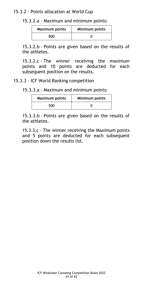#### 15.3.2 - Points allocation at World Cup

15.3.2.a - Maximum and minimum points:

| Maximum points | Minimum points |
|----------------|----------------|
| 800            |                |

15.3.2.b - Points are given based on the results of the athletes.

15.3.2.c - The winner receiving the maximum points and 10 points are deducted for each subsequent position on the results.

15.3.3 - ICF World Ranking competition

#### 15.3.3.a - Maximum and minimum points:

| Maximum points | Minimum points |
|----------------|----------------|
| 500            |                |

15.3.3.b - Points are given based on the results of the athletes.

15.3.3.c - The winner receiving the Maximum points and 5 points are deducted for each subsequent position down the results list.